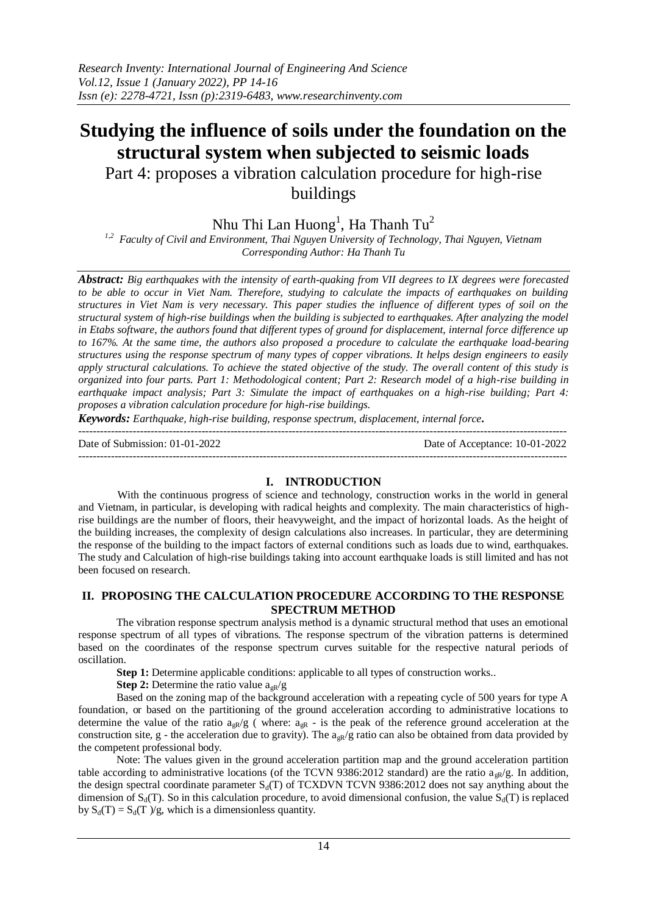# **Studying the influence of soils under the foundation on the structural system when subjected to seismic loads**

Part 4: proposes a vibration calculation procedure for high-rise buildings

Nhu Thi Lan Huong<sup>1</sup>, Ha Thanh Tu<sup>2</sup>

*1,2 Faculty of Civil and Environment, Thai Nguyen University of Technology, Thai Nguyen, Vietnam Corresponding Author: Ha Thanh Tu*

*Abstract: Big earthquakes with the intensity of earth-quaking from VII degrees to IX degrees were forecasted to be able to occur in Viet Nam. Therefore, studying to calculate the impacts of earthquakes on building structures in Viet Nam is very necessary. This paper studies the influence of different types of soil on the structural system of high-rise buildings when the building is subjected to earthquakes. After analyzing the model in Etabs software, the authors found that different types of ground for displacement, internal force difference up to 167%. At the same time, the authors also proposed a procedure to calculate the earthquake load-bearing structures using the response spectrum of many types of copper vibrations. It helps design engineers to easily apply structural calculations. To achieve the stated objective of the study. The overall content of this study is organized into four parts. Part 1: Methodological content; Part 2: Research model of a high-rise building in earthquake impact analysis; Part 3: Simulate the impact of earthquakes on a high-rise building; Part 4: proposes a vibration calculation procedure for high-rise buildings.*

*Keywords: Earthquake, high-rise building, response spectrum, displacement, internal force.*

---------------------------------------------------------------------------------------------------------------------------------------

Date of Submission: 01-01-2022 Date of Acceptance: 10-01-2022

 $-1-\frac{1}{2}$ 

# **I. INTRODUCTION**

With the continuous progress of science and technology, construction works in the world in general and Vietnam, in particular, is developing with radical heights and complexity. The main characteristics of highrise buildings are the number of floors, their heavyweight, and the impact of horizontal loads. As the height of the building increases, the complexity of design calculations also increases. In particular, they are determining the response of the building to the impact factors of external conditions such as loads due to wind, earthquakes. The study and Calculation of high-rise buildings taking into account earthquake loads is still limited and has not been focused on research.

# **II. PROPOSING THE CALCULATION PROCEDURE ACCORDING TO THE RESPONSE SPECTRUM METHOD**

The vibration response spectrum analysis method is a dynamic structural method that uses an emotional response spectrum of all types of vibrations. The response spectrum of the vibration patterns is determined based on the coordinates of the response spectrum curves suitable for the respective natural periods of oscillation.

**Step 1:** Determine applicable conditions: applicable to all types of construction works..

**Step 2:** Determine the ratio value  $a_{\alpha R}/g$ 

Based on the zoning map of the background acceleration with a repeating cycle of 500 years for type A foundation, or based on the partitioning of the ground acceleration according to administrative locations to determine the value of the ratio  $a_{nR}/g$  (where:  $a_{nR}$  - is the peak of the reference ground acceleration at the construction site, g - the acceleration due to gravity). The  $a_{\alpha R}/g$  ratio can also be obtained from data provided by the competent professional body.

Note: The values given in the ground acceleration partition map and the ground acceleration partition table according to administrative locations (of the TCVN 9386:2012 standard) are the ratio  $a_{\alpha R}/g$ . In addition, the design spectral coordinate parameter  $S_d(T)$  of TCXDVN TCVN 9386:2012 does not say anything about the dimension of  $S_d(T)$ . So in this calculation procedure, to avoid dimensional confusion, the value  $S_d(T)$  is replaced by  $S_d(T) = S_d(T)/g$ , which is a dimensionless quantity.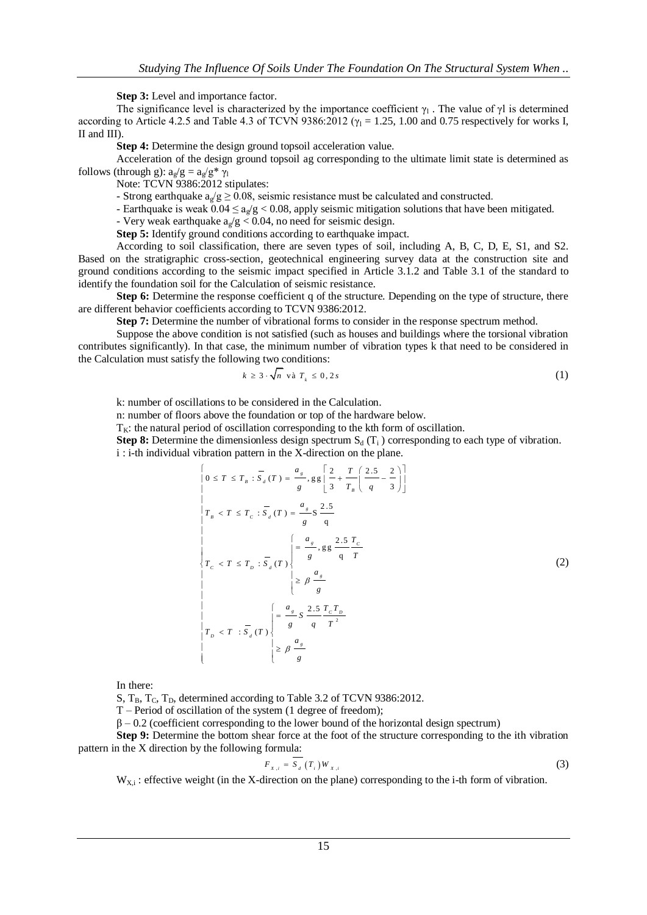**Step 3:** Level and importance factor.

The significance level is characterized by the importance coefficient  $\gamma_1$ . The value of  $\gamma$ l is determined according to Article 4.2.5 and Table 4.3 of TCVN 9386:2012 ( $\gamma_1$  = 1.25, 1.00 and 0.75 respectively for works I, II and III).

**Step 4:** Determine the design ground topsoil acceleration value.

Acceleration of the design ground topsoil ag corresponding to the ultimate limit state is determined as follows (through g):  $a_g/g = a_g/g^* \gamma_1$ 

Note: TCVN 9386:2012 stipulates:

- Strong earthquake  $a_0/g \ge 0.08$ , seismic resistance must be calculated and constructed.

- Earthquake is weak  $0.04 \le a_g/g < 0.08$ , apply seismic mitigation solutions that have been mitigated.

- Very weak earthquake  $a_{\gamma}/g < 0.04$ , no need for seismic design.

**Step 5:** Identify ground conditions according to earthquake impact.

According to soil classification, there are seven types of soil, including A, B, C, D, E, S1, and S2. Based on the stratigraphic cross-section, geotechnical engineering survey data at the construction site and ground conditions according to the seismic impact specified in Article 3.1.2 and Table 3.1 of the standard to identify the foundation soil for the Calculation of seismic resistance.

**Step 6:** Determine the response coefficient q of the structure. Depending on the type of structure, there are different behavior coefficients according to TCVN 9386:2012.

**Step 7:** Determine the number of vibrational forms to consider in the response spectrum method.

Suppose the above condition is not satisfied (such as houses and buildings where the torsional vibration contributes significantly). In that case, the minimum number of vibration types k that need to be considered in the Calculation must satisfy the following two conditions:

$$
k \ge 3 \cdot \sqrt{n} \text{ va } T_k \le 0, 2s \tag{1}
$$

k: number of oscillations to be considered in the Calculation.

n: number of floors above the foundation or top of the hardware below.

 $T_K$ : the natural period of oscillation corresponding to the kth form of oscillation.

**Step 8:** Determine the dimensionless design spectrum  $S_d(T_i)$  corresponding to each type of vibration.

i : i-th individual vibration pattern in the X-direction on the plane.<br> $\begin{bmatrix} 0 & 0 \end{bmatrix}$   $\begin{bmatrix} 0 & 0 \end{bmatrix}$   $\begin{bmatrix} 0 & 0 \end{bmatrix}$   $\begin{bmatrix} 0 & 0 \end{bmatrix}$   $\begin{bmatrix} 0 & 0 \end{bmatrix}$   $\begin{bmatrix} 0 & 0 \end{bmatrix}$   $\begin{bmatrix} 0 & 0 \end{bmatrix}$   $\begin{bmatrix} 0 &$ 

$$
\begin{vmatrix}\n0 \le T \le T_B : \overline{S}_d(T) = \frac{a_s}{g}, g g \left[ \frac{2}{3} + \frac{T}{T_B} \left( \frac{2.5}{q} - \frac{2}{3} \right) \right] \\
T_B < T \le T_C : \overline{S}_d(T) = \frac{a_s}{g} S \frac{2.5}{q} \\
T_C < T \le T_D : \overline{S}_d(T) \n\end{vmatrix}\n\begin{vmatrix}\n\frac{a_s}{g} & \frac{2.5}{q} \frac{T_C}{T_C} \\
\frac{2.5}{g} & \frac{T_C}{T_C} \\
\frac{2.5}{g} & \frac{T_C}{T_C}\n\end{vmatrix}\n\begin{vmatrix}\n\frac{a_s}{g} & \frac{2.5}{q} \frac{T_C T_D}{T_C} \\
\frac{2.5}{g} & \frac{2.5}{q} \frac{T_C T_D}{T^2} \\
\frac{2.5}{g} & \frac{T_C T_D}{T^2}\n\end{vmatrix}
$$
\n
$$
\begin{vmatrix}\nT_D < T : \overline{S}_d(T)\n\end{vmatrix}\n\ge \beta \frac{a_s}{g}
$$
\n(2)

In there:

S,  $T_{\text{B}}$ ,  $T_{\text{C}}$ ,  $T_{\text{D}}$ , determined according to Table 3.2 of TCVN 9386:2012.

T – Period of oscillation of the system (1 degree of freedom);

 $\beta$  – 0.2 (coefficient corresponding to the lower bound of the horizontal design spectrum)

**Step 9:** Determine the bottom shear force at the foot of the structure corresponding to the ith vibration pattern in the X direction by the following formula:

$$
F_{X,i} = S_d(T_i) W_{X,i}
$$
\n<sup>(3)</sup>

 $W_{X,i}$ : effective weight (in the X-direction on the plane) corresponding to the i-th form of vibration.